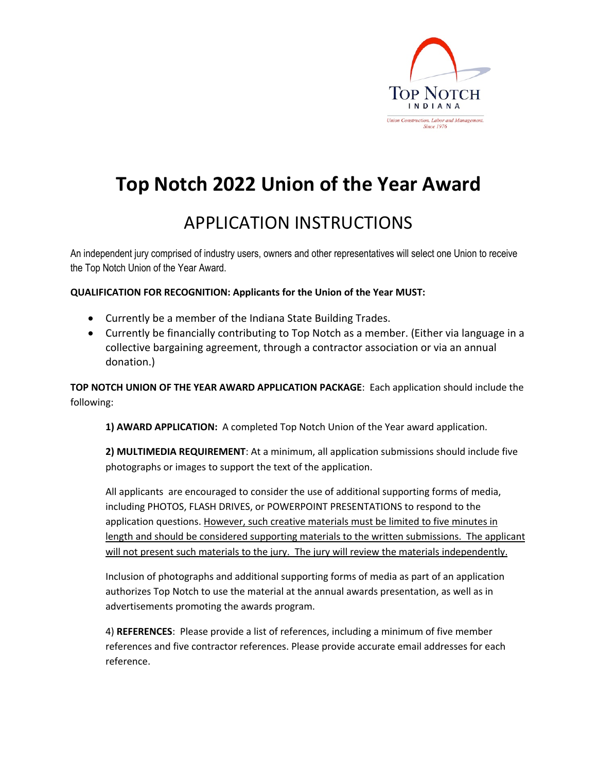

# **Top Notch 2022 Union of the Year Award**

### APPLICATION INSTRUCTIONS

An independent jury comprised of industry users, owners and other representatives will select one Union to receive the Top Notch Union of the Year Award.

### **QUALIFICATION FOR RECOGNITION: Applicants for the Union of the Year MUST:**

- Currently be a member of the Indiana State Building Trades.
- Currently be financially contributing to Top Notch as a member. (Either via language in a collective bargaining agreement, through a contractor association or via an annual donation.)

**TOP NOTCH UNION OF THE YEAR AWARD APPLICATION PACKAGE**: Each application should include the following:

**1) AWARD APPLICATION:** A completed Top Notch Union of the Year award application.

**2) MULTIMEDIA REQUIREMENT**: At a minimum, all application submissions should include five photographs or images to support the text of the application.

All applicants are encouraged to consider the use of additional supporting forms of media, including PHOTOS, FLASH DRIVES, or POWERPOINT PRESENTATIONS to respond to the application questions. However, such creative materials must be limited to five minutes in length and should be considered supporting materials to the written submissions. The applicant will not present such materials to the jury. The jury will review the materials independently.

Inclusion of photographs and additional supporting forms of media as part of an application authorizes Top Notch to use the material at the annual awards presentation, as well as in advertisements promoting the awards program.

4) **REFERENCES**: Please provide a list of references, including a minimum of five member references and five contractor references. Please provide accurate email addresses for each reference.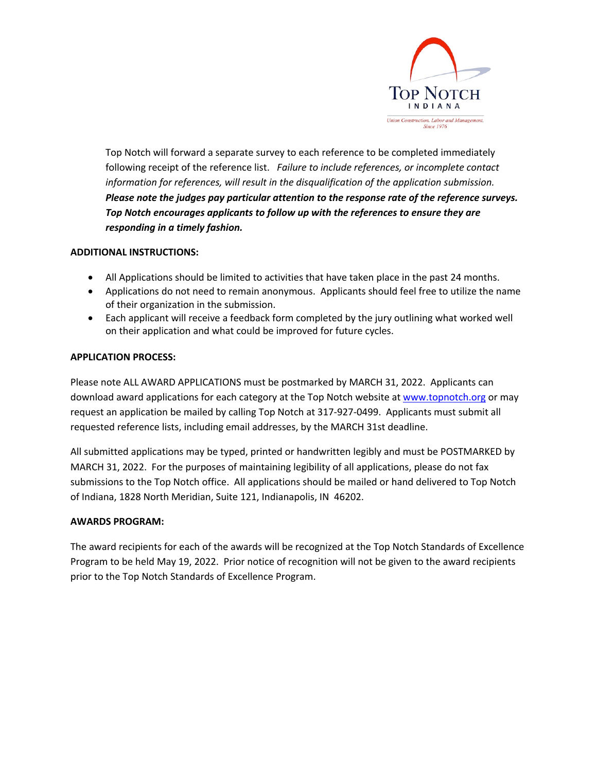

Top Notch will forward a separate survey to each reference to be completed immediately following receipt of the reference list. *Failure to include references, or incomplete contact information for references, will result in the disqualification of the application submission. Please note the judges pay particular attention to the response rate of the reference surveys. Top Notch encourages applicants to follow up with the references to ensure they are responding in a timely fashion.*

### **ADDITIONAL INSTRUCTIONS:**

- All Applications should be limited to activities that have taken place in the past 24 months.
- Applications do not need to remain anonymous. Applicants should feel free to utilize the name of their organization in the submission.
- Each applicant will receive a feedback form completed by the jury outlining what worked well on their application and what could be improved for future cycles.

### **APPLICATION PROCESS:**

Please note ALL AWARD APPLICATIONS must be postmarked by MARCH 31, 2022. Applicants can download award applications for each category at the Top Notch website at www.topnotch.org or may request an application be mailed by calling Top Notch at 317-927-0499. Applicants must submit all requested reference lists, including email addresses, by the MARCH 31st deadline.

All submitted applications may be typed, printed or handwritten legibly and must be POSTMARKED by MARCH 31, 2022. For the purposes of maintaining legibility of all applications, please do not fax submissions to the Top Notch office. All applications should be mailed or hand delivered to Top Notch of Indiana, 1828 North Meridian, Suite 121, Indianapolis, IN 46202.

### **AWARDS PROGRAM:**

The award recipients for each of the awards will be recognized at the Top Notch Standards of Excellence Program to be held May 19, 2022. Prior notice of recognition will not be given to the award recipients prior to the Top Notch Standards of Excellence Program.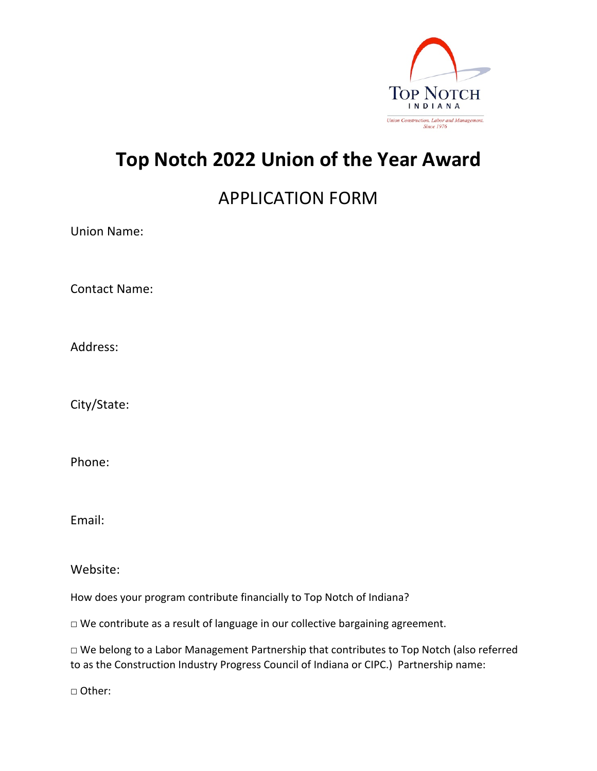

## **Top Notch 2022 Union of the Year Award**

## APPLICATION FORM

Union Name:

Contact Name:

Address:

City/State:

Phone:

Email:

Website:

How does your program contribute financially to Top Notch of Indiana?

□ We contribute as a result of language in our collective bargaining agreement.

□ We belong to a Labor Management Partnership that contributes to Top Notch (also referred to as the Construction Industry Progress Council of Indiana or CIPC.) Partnership name:

□ Other: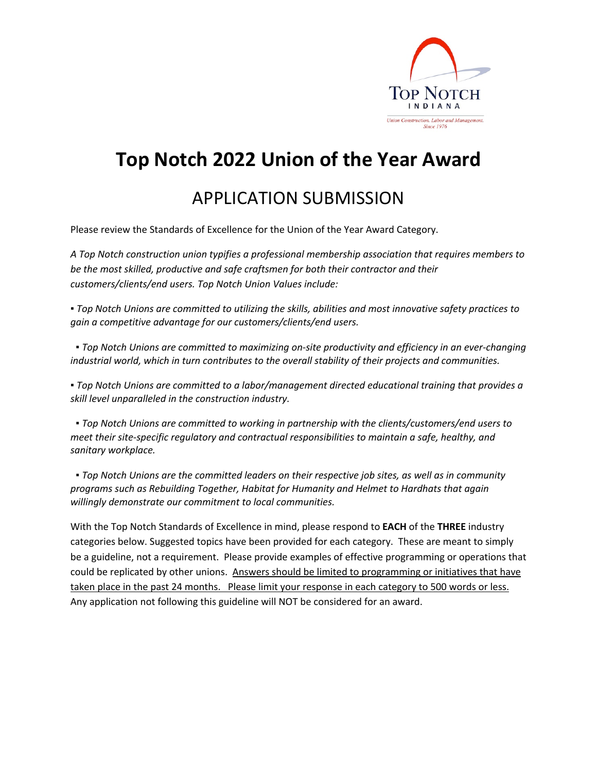

## **Top Notch 2022 Union of the Year Award**

### APPLICATION SUBMISSION

Please review the Standards of Excellence for the Union of the Year Award Category.

*A Top Notch construction union typifies a professional membership association that requires members to be the most skilled, productive and safe craftsmen for both their contractor and their customers/clients/end users. Top Notch Union Values include:*

*▪ Top Notch Unions are committed to utilizing the skills, abilities and most innovative safety practices to gain a competitive advantage for our customers/clients/end users.*

*▪ Top Notch Unions are committed to maximizing on-site productivity and efficiency in an ever-changing industrial world, which in turn contributes to the overall stability of their projects and communities.*

*▪ Top Notch Unions are committed to a labor/management directed educational training that provides a skill level unparalleled in the construction industry.*

*▪ Top Notch Unions are committed to working in partnership with the clients/customers/end users to meet their site-specific regulatory and contractual responsibilities to maintain a safe, healthy, and sanitary workplace.*

*▪ Top Notch Unions are the committed leaders on their respective job sites, as well as in community programs such as Rebuilding Together, Habitat for Humanity and Helmet to Hardhats that again willingly demonstrate our commitment to local communities.*

With the Top Notch Standards of Excellence in mind, please respond to **EACH** of the **THREE** industry categories below. Suggested topics have been provided for each category. These are meant to simply be a guideline, not a requirement. Please provide examples of effective programming or operations that could be replicated by other unions. Answers should be limited to programming or initiatives that have taken place in the past 24 months. Please limit your response in each category to 500 words or less. Any application not following this guideline will NOT be considered for an award.